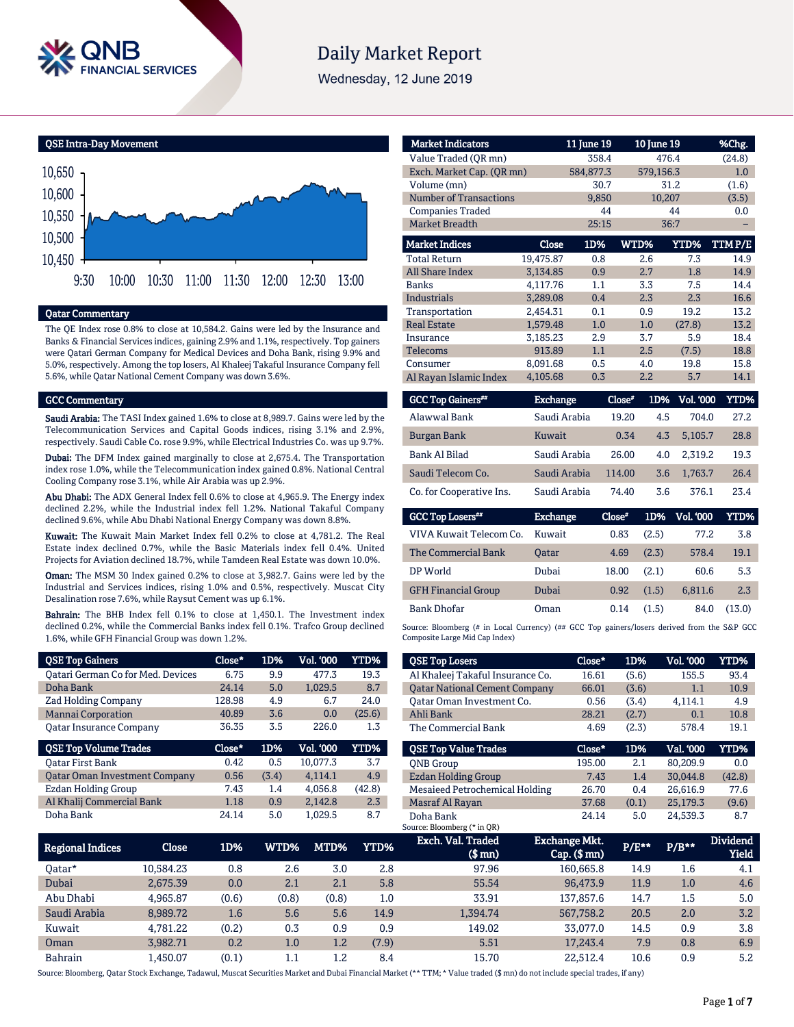

# **Daily Market Report**

Wednesday, 12 June 2019

QSE Intra-Day Movement



#### Qatar Commentary

The QE Index rose 0.8% to close at 10,584.2. Gains were led by the Insurance and Banks & Financial Services indices, gaining 2.9% and 1.1%, respectively. Top gainers were Qatari German Company for Medical Devices and Doha Bank, rising 9.9% and 5.0%, respectively. Among the top losers, Al Khaleej Takaful Insurance Company fell 5.6%, while Qatar National Cement Company was down 3.6%.

#### GCC Commentary

Saudi Arabia: The TASI Index gained 1.6% to close at 8,989.7. Gains were led by the Telecommunication Services and Capital Goods indices, rising 3.1% and 2.9%, respectively. Saudi Cable Co. rose 9.9%, while Electrical Industries Co. was up 9.7%.

Dubai: The DFM Index gained marginally to close at 2,675.4. The Transportation index rose 1.0%, while the Telecommunication index gained 0.8%. National Central Cooling Company rose 3.1%, while Air Arabia was up 2.9%.

Abu Dhabi: The ADX General Index fell 0.6% to close at 4,965.9. The Energy index declined 2.2%, while the Industrial index fell 1.2%. National Takaful Company declined 9.6%, while Abu Dhabi National Energy Company was down 8.8%.

Kuwait: The Kuwait Main Market Index fell 0.2% to close at 4,781.2. The Real Estate index declined 0.7%, while the Basic Materials index fell 0.4%. United Projects for Aviation declined 18.7%, while Tamdeen Real Estate was down 10.0%.

Oman: The MSM 30 Index gained 0.2% to close at 3,982.7. Gains were led by the Industrial and Services indices, rising 1.0% and 0.5%, respectively. Muscat City Desalination rose 7.6%, while Raysut Cement was up 6.1%.

Bahrain: The BHB Index fell 0.1% to close at 1,450.1. The Investment index declined 0.2%, while the Commercial Banks index fell 0.1%. Trafco Group declined 1.6%, while GFH Financial Group was down 1.2%.

| <b>QSE Top Gainers</b>                   | Close* | 1D%   | Vol. 000         | YTD%   |
|------------------------------------------|--------|-------|------------------|--------|
| <b>Qatari German Co for Med. Devices</b> | 6.75   | 9.9   | 477.3            | 19.3   |
| Doha Bank                                | 24.14  | 5.0   | 1.029.5          | 8.7    |
| <b>Zad Holding Company</b>               | 128.98 | 4.9   | 6.7              | 24.0   |
| <b>Mannai Corporation</b>                | 40.89  | 3.6   | 0.0              | (25.6) |
| <b>Oatar Insurance Company</b>           | 36.35  | 3.5   | 226.0            | 1.3    |
|                                          |        |       |                  |        |
| <b>QSE Top Volume Trades</b>             | Close* | 1D%   | <b>Vol. '000</b> | YTD%   |
| <b>Oatar First Bank</b>                  | 0.42   | 0.5   | 10.077.3         | 3.7    |
| <b>Qatar Oman Investment Company</b>     | 0.56   | (3.4) | 4.114.1          | 4.9    |
| Ezdan Holding Group                      | 7.43   | 1.4   | 4.056.8          | (42.8) |
| Al Khalij Commercial Bank                | 1.18   | 0.9   | 2.142.8          | 2.3    |

| <b>Market Indicators</b>  |           | 11 June 19 | 10 June 19 |           | %Chg.  |
|---------------------------|-----------|------------|------------|-----------|--------|
| Value Traded (OR mn)      |           | 358.4      |            | 476.4     | (24.8) |
| Exch. Market Cap. (QR mn) |           | 584,877.3  |            | 579,156.3 | 1.0    |
| Volume (mn)               |           | 30.7       |            | 31.2      | (1.6)  |
| Number of Transactions    |           | 9,850      |            | 10,207    | (3.5)  |
| <b>Companies Traded</b>   |           | 44         |            | 44        | 0.0    |
| <b>Market Breadth</b>     |           | 25:15      |            | 36:7      |        |
| <b>Market Indices</b>     | Close     | 1D%        | WTD%       | YTD%      | TTMP/E |
| <b>Total Return</b>       | 19,475.87 | 0.8        | 2.6        | 7.3       | 14.9   |
| <b>All Share Index</b>    | 3,134.85  | 0.9        | 2.7        | 1.8       | 14.9   |
| <b>Banks</b>              | 4,117.76  | 1.1        | 3.3        | 7.5       | 14.4   |
| Industrials               | 3.289.08  | 0.4        | 2.3        | 2.3       | 16.6   |
| Transportation            | 2,454.31  | 0.1        | 0.9        | 19.2      | 13.2   |
| <b>Real Estate</b>        | 1,579.48  | 1.0        | 1.0        | (27.8)    | 13.2   |
| Insurance                 | 3,185.23  | 2.9        | 3.7        | 5.9       | 18.4   |
| <b>Telecoms</b>           | 913.89    | 1.1        | 2.5        | (7.5)     | 18.8   |
| Consumer                  | 8.091.68  | 0.5        | 4.0        | 19.8      | 15.8   |
| Al Rayan Islamic Index    | 4,105.68  | 0.3        | 2.2        | 5.7       | 14.1   |

| <b>GCC Top Gainers**</b> | <b>Exchange</b> | Close* | 1D% | <b>Vol. '000</b> | YTD%  |
|--------------------------|-----------------|--------|-----|------------------|-------|
| Alawwal Bank             | Saudi Arabia    | 19.20  | 4.5 | 704.0            | 27.2  |
| Burgan Bank              | Kuwait          | 0.34   | 4.3 | 5.105.7          | 28.8  |
| <b>Bank Al Bilad</b>     | Saudi Arabia    | 26.00  | 4.0 | 2.319.2          | 19.3  |
| Saudi Telecom Co.        | Saudi Arabia    | 114.00 | 3.6 | 1.763.7          | 26.4  |
| Co. for Cooperative Ins. | Saudi Arabia    | 74.40  | 3.6 | 376.1            | 2.3.4 |

| GCC Top Losers**           | <b>Exchange</b> | Close* | 1D%   | Vol. '000 | YTD%   |
|----------------------------|-----------------|--------|-------|-----------|--------|
| VIVA Kuwait Telecom Co.    | Kuwait          | 0.83   | (2.5) | 77.2      | 3.8    |
| The Commercial Bank        | <b>Oatar</b>    | 4.69   | (2.3) | 578.4     | 19.1   |
| DP World                   | Dubai           | 18.00  | (2.1) | 60.6      | 5.3    |
| <b>GFH Financial Group</b> | Dubai           | 0.92   | (1.5) | 6.811.6   | 2.3    |
| <b>Bank Dhofar</b>         | Oman            | 0.14   | (1.5) | 84.0      | (13.0) |

Source: Bloomberg (# in Local Currency) (## GCC Top gainers/losers derived from the S&P GCC Composite Large Mid Cap Index)

| <b>QSE Top Losers</b>                | Close* | 1D%   | <b>Vol. '000</b> | <b>YTD%</b> |
|--------------------------------------|--------|-------|------------------|-------------|
| Al Khaleej Takaful Insurance Co.     | 16.61  | (5.6) | 155.5            | 93.4        |
| <b>Qatar National Cement Company</b> | 66.01  | (3.6) | 1.1              | 10.9        |
| Oatar Oman Investment Co.            | 0.56   | (3.4) | 4,114.1          | 4.9         |
| Ahli Bank                            | 28.21  | (2.7) | 0.1              | 10.8        |
| The Commercial Bank                  | 4.69   | (2.3) | 578.4            | 19.1        |
|                                      |        |       |                  |             |
| <b>OSE Top Value Trades</b>          | Close* | 1D%   | Val. '000        | <b>YTD%</b> |
|                                      |        |       |                  |             |
| <b>ONB</b> Group                     | 195.00 | 2.1   | 80.209.9         | 0.0         |
| Ezdan Holding Group                  | 7.43   | 1.4   | 30.044.8         | (42.8)      |
| Mesaieed Petrochemical Holding       | 26.70  | 0.4   | 26.616.9         | 77.6        |
| Masraf Al Rayan                      | 37.68  | (0.1) | 25,179.3         | (9.6)       |
| Doha Bank                            | 24.14  | 5.0   | 24.539.3         | 8.7         |
| Source: Bloomberg (* in QR)          |        |       |                  |             |

| <b>Regional Indices</b> | Close     | 1D%   | WTD%'   | MTD%  | YTD%  | Exch. Val. Traded<br>$$$ mm $)$ | <b>Exchange Mkt.</b><br>$Cap.$ ( $$rm)$ ) | $P/E***$ | $P/B***$ | <b>Dividend</b><br>Yield |
|-------------------------|-----------|-------|---------|-------|-------|---------------------------------|-------------------------------------------|----------|----------|--------------------------|
| 0atar*                  | 10.584.23 | 0.8   | 2.6     | 3.0   | 2.8   | 97.96                           | 160.665.8                                 | 14.9     | 1.6      | 4.1                      |
| Dubai                   | 2,675.39  | 0.0   | 2.1     | 2.1   | 5.8   | 55.54                           | 96,473.9                                  | 11.9     | 1.0      | 4.6                      |
| Abu Dhabi               | 4.965.87  | (0.6) | (0.8)   | (0.8) | 1.0   | 33.91                           | 137,857.6                                 | 14.7     | 1.5      | 5.0                      |
| Saudi Arabia            | 8.989.72  | 1.6   | 5.6     | 5.6   | 14.9  | 1.394.74                        | 567,758.2                                 | 20.5     | 2.0      | 3.2                      |
| Kuwait                  | 4.781.22  | (0.2) | 0.3     | 0.9   | 0.9   | 149.02                          | 33,077.0                                  | 14.5     | 0.9      | 3.8                      |
| Oman                    | 3.982.71  | 0.2   | 1.0     | 1.2   | (7.9) | 5.51                            | 17.243.4                                  | 7.9      | 0.8      | 6.9                      |
| <b>Bahrain</b>          | L.450.07  | (0.1) | $1.1\,$ | 1.2   | 8.4   | 15.70                           | 22.512.4                                  | 10.6     | 0.9      | 5.2                      |

Source: Bloomberg, Qatar Stock Exchange, Tadawul, Muscat Securities Market and Dubai Financial Market (\*\* TTM; \* Value traded (\$ mn) do not include special trades, if any)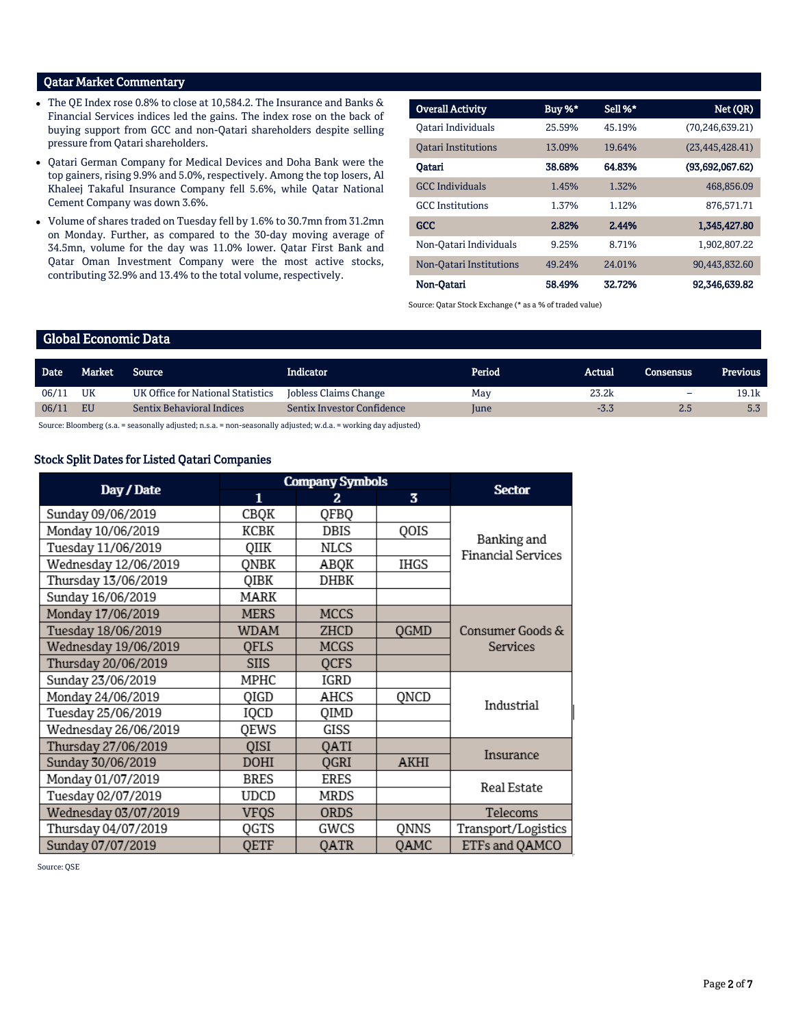## Qatar Market Commentary

- The QE Index rose 0.8% to close at 10,584.2. The Insurance and Banks & Financial Services indices led the gains. The index rose on the back of buying support from GCC and non-Qatari shareholders despite selling pressure from Qatari shareholders.
- Qatari German Company for Medical Devices and Doha Bank were the top gainers, rising 9.9% and 5.0%, respectively. Among the top losers, Al Khaleej Takaful Insurance Company fell 5.6%, while Qatar National Cement Company was down 3.6%.
- Volume of shares traded on Tuesday fell by 1.6% to 30.7mn from 31.2mn on Monday. Further, as compared to the 30-day moving average of 34.5mn, volume for the day was 11.0% lower. Qatar First Bank and Qatar Oman Investment Company were the most active stocks, contributing 32.9% and 13.4% to the total volume, respectively.

| <b>Overall Activity</b>    | Buy %* | Sell %* | Net (QR)          |
|----------------------------|--------|---------|-------------------|
| Oatari Individuals         | 25.59% | 45.19%  | (70.246.639.21)   |
| <b>Oatari Institutions</b> | 13.09% | 19.64%  | (23, 445, 428.41) |
| Oatari                     | 38.68% | 64.83%  | (93,692,067,62)   |
| <b>GCC</b> Individuals     | 1.45%  | 1.32%   | 468,856.09        |
| <b>GCC</b> Institutions    | 1.37%  | 1.12%   | 876,571.71        |
| GCC                        | 2.82%  | 2.44%   | 1,345,427.80      |
| Non-Oatari Individuals     | 9.25%  | 8.71%   | 1,902,807.22      |
| Non-Oatari Institutions    | 49.24% | 24.01%  | 90,443,832.60     |
| Non-Oatari                 | 58.49% | 32.72%  | 92,346,639.82     |

Source: Qatar Stock Exchange (\* as a % of traded value)

## Global Economic Data

| <b>Date</b> | Market | Source                            | Indicator                  | Period      | Actual | Consensus | Previous |
|-------------|--------|-----------------------------------|----------------------------|-------------|--------|-----------|----------|
| 06/11       | UK     | UK Office for National Statistics | Jobless Claims Change      | May         | 23.2k  | -         | 19.1k    |
| 06/11       | EU     | <b>Sentix Behavioral Indices</b>  | Sentix Investor Confidence | <b>lune</b> | $-3.3$ | 2.5       | 5.3      |

Source: Bloomberg (s.a. = seasonally adjusted; n.s.a. = non-seasonally adjusted; w.d.a. = working day adjusted)

## Stock Split Dates for Listed Qatari Companies

|                      | <b>Company Symbols</b> |             |      |                           |
|----------------------|------------------------|-------------|------|---------------------------|
| Day / Date           | $\mathbf{1}$           | 2           | 3    | <b>Sector</b>             |
| Sunday 09/06/2019    | CBQK                   | QFBQ        |      |                           |
| Monday 10/06/2019    | KCBK                   | DBIS        | QOIS | Banking and               |
| Tuesday 11/06/2019   | QIIK                   | NLCS        |      | <b>Financial Services</b> |
| Wednesday 12/06/2019 | QNBK                   | ABQK        | IHGS |                           |
| Thursday 13/06/2019  | QIBK                   | DHBK        |      |                           |
| Sunday 16/06/2019    | MARK                   |             |      |                           |
| Monday 17/06/2019    | <b>MERS</b>            | <b>MCCS</b> |      |                           |
| Tuesday 18/06/2019   | WDAM                   | ZHCD        | QGMD | Consumer Goods &          |
| Wednesday 19/06/2019 | <b>OFLS</b>            | MCGS        |      | Services                  |
| Thursday 20/06/2019  | <b>SIIS</b>            | <b>OCFS</b> |      |                           |
| Sunday 23/06/2019    | MPHC                   | IGRD        |      |                           |
| Monday 24/06/2019    | QIGD                   | AHCS        | QNCD | Industrial                |
| Tuesday 25/06/2019   | IQCD                   | QIMD        |      |                           |
| Wednesday 26/06/2019 | QEWS                   | GISS        |      |                           |
| Thursday 27/06/2019  | QISI                   | QATI        |      | Insurance                 |
| Sunday 30/06/2019    | <b>DOHI</b>            | QGRI        | AKHI |                           |
| Monday 01/07/2019    | <b>BRES</b>            | ERES        |      | Real Estate               |
| Tuesday 02/07/2019   | UDCD                   | MRDS        |      |                           |
| Wednesday 03/07/2019 | <b>VFQS</b>            | ORDS        |      | Telecoms                  |
| Thursday 04/07/2019  | QGTS                   | GWCS        | QNNS | Transport/Logistics       |
| Sunday 07/07/2019    | <b>QETF</b>            | QATR        | OAMC | ETFs and QAMCO            |

Source: QSE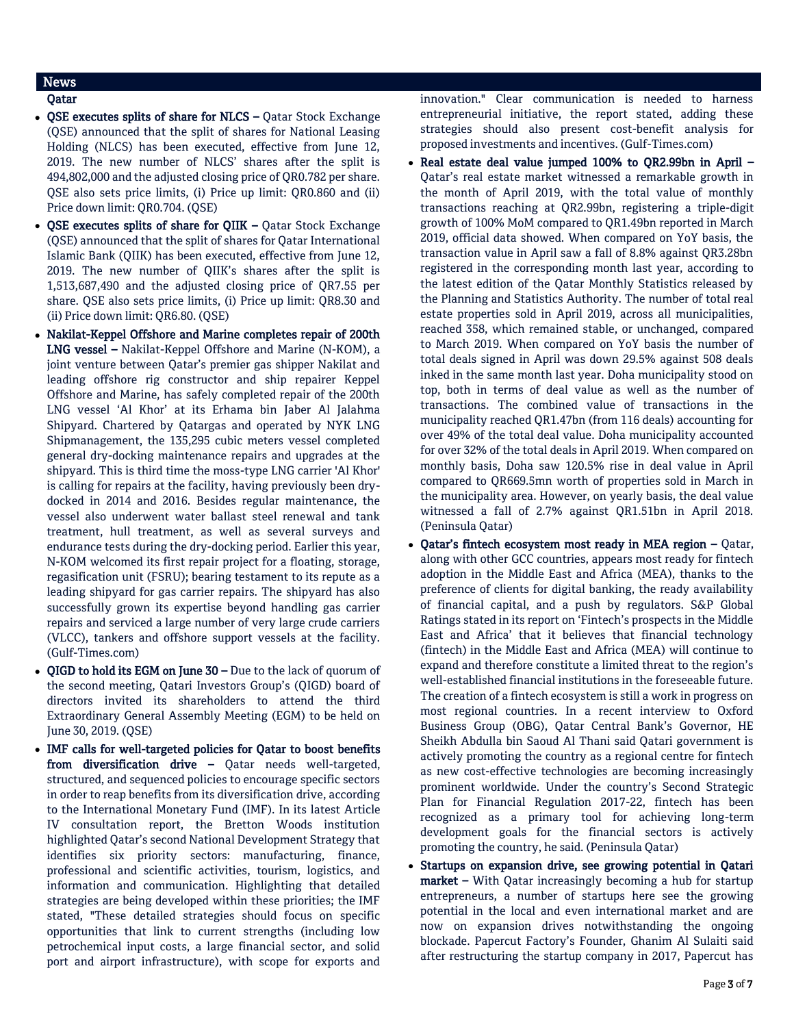# News

## Qatar

- OSE executes splits of share for NLCS Qatar Stock Exchange (QSE) announced that the split of shares for National Leasing Holding (NLCS) has been executed, effective from June 12, 2019. The new number of NLCS' shares after the split is 494,802,000 and the adjusted closing price of QR0.782 per share. QSE also sets price limits, (i) Price up limit: QR0.860 and (ii) Price down limit: QR0.704. (QSE)
- QSE executes splits of share for QIIK Qatar Stock Exchange (QSE) announced that the split of shares for Qatar International Islamic Bank (QIIK) has been executed, effective from June 12, 2019. The new number of QIIK's shares after the split is 1,513,687,490 and the adjusted closing price of QR7.55 per share. QSE also sets price limits, (i) Price up limit: QR8.30 and (ii) Price down limit: QR6.80. (QSE)
- Nakilat-Keppel Offshore and Marine completes repair of 200th LNG vessel – Nakilat-Keppel Offshore and Marine (N-KOM), a joint venture between Qatar's premier gas shipper Nakilat and leading offshore rig constructor and ship repairer Keppel Offshore and Marine, has safely completed repair of the 200th LNG vessel 'Al Khor' at its Erhama bin Jaber Al Jalahma Shipyard. Chartered by Qatargas and operated by NYK LNG Shipmanagement, the 135,295 cubic meters vessel completed general dry-docking maintenance repairs and upgrades at the shipyard. This is third time the moss-type LNG carrier 'Al Khor' is calling for repairs at the facility, having previously been drydocked in 2014 and 2016. Besides regular maintenance, the vessel also underwent water ballast steel renewal and tank treatment, hull treatment, as well as several surveys and endurance tests during the dry-docking period. Earlier this year, N-KOM welcomed its first repair project for a floating, storage, regasification unit (FSRU); bearing testament to its repute as a leading shipyard for gas carrier repairs. The shipyard has also successfully grown its expertise beyond handling gas carrier repairs and serviced a large number of very large crude carriers (VLCC), tankers and offshore support vessels at the facility. (Gulf-Times.com)
- QIGD to hold its EGM on June 30 Due to the lack of quorum of the second meeting, Qatari Investors Group's (QIGD) board of directors invited its shareholders to attend the third Extraordinary General Assembly Meeting (EGM) to be held on June 30, 2019. (QSE)
- IMF calls for well-targeted policies for Qatar to boost benefits from diversification drive – Qatar needs well-targeted, structured, and sequenced policies to encourage specific sectors in order to reap benefits from its diversification drive, according to the International Monetary Fund (IMF). In its latest Article IV consultation report, the Bretton Woods institution highlighted Qatar's second National Development Strategy that identifies six priority sectors: manufacturing, finance, professional and scientific activities, tourism, logistics, and information and communication. Highlighting that detailed strategies are being developed within these priorities; the IMF stated, "These detailed strategies should focus on specific opportunities that link to current strengths (including low petrochemical input costs, a large financial sector, and solid port and airport infrastructure), with scope for exports and

innovation." Clear communication is needed to harness entrepreneurial initiative, the report stated, adding these strategies should also present cost-benefit analysis for proposed investments and incentives. (Gulf-Times.com)

- Real estate deal value jumped 100% to QR2.99bn in April -Qatar's real estate market witnessed a remarkable growth in the month of April 2019, with the total value of monthly transactions reaching at QR2.99bn, registering a triple-digit growth of 100% MoM compared to QR1.49bn reported in March 2019, official data showed. When compared on YoY basis, the transaction value in April saw a fall of 8.8% against QR3.28bn registered in the corresponding month last year, according to the latest edition of the Qatar Monthly Statistics released by the Planning and Statistics Authority. The number of total real estate properties sold in April 2019, across all municipalities, reached 358, which remained stable, or unchanged, compared to March 2019. When compared on YoY basis the number of total deals signed in April was down 29.5% against 508 deals inked in the same month last year. Doha municipality stood on top, both in terms of deal value as well as the number of transactions. The combined value of transactions in the municipality reached QR1.47bn (from 116 deals) accounting for over 49% of the total deal value. Doha municipality accounted for over 32% of the total deals in April 2019. When compared on monthly basis, Doha saw 120.5% rise in deal value in April compared to QR669.5mn worth of properties sold in March in the municipality area. However, on yearly basis, the deal value witnessed a fall of 2.7% against QR1.51bn in April 2018. (Peninsula Qatar)
- $\bullet$  Oatar's fintech ecosystem most ready in MEA region Oatar, along with other GCC countries, appears most ready for fintech adoption in the Middle East and Africa (MEA), thanks to the preference of clients for digital banking, the ready availability of financial capital, and a push by regulators. S&P Global Ratings stated in its report on 'Fintech's prospects in the Middle East and Africa' that it believes that financial technology (fintech) in the Middle East and Africa (MEA) will continue to expand and therefore constitute a limited threat to the region's well-established financial institutions in the foreseeable future. The creation of a fintech ecosystem is still a work in progress on most regional countries. In a recent interview to Oxford Business Group (OBG), Qatar Central Bank's Governor, HE Sheikh Abdulla bin Saoud Al Thani said Qatari government is actively promoting the country as a regional centre for fintech as new cost-effective technologies are becoming increasingly prominent worldwide. Under the country's Second Strategic Plan for Financial Regulation 2017-22, fintech has been recognized as a primary tool for achieving long-term development goals for the financial sectors is actively promoting the country, he said. (Peninsula Qatar)
- Startups on expansion drive, see growing potential in Qatari market – With Qatar increasingly becoming a hub for startup entrepreneurs, a number of startups here see the growing potential in the local and even international market and are now on expansion drives notwithstanding the ongoing blockade. Papercut Factory's Founder, Ghanim Al Sulaiti said after restructuring the startup company in 2017, Papercut has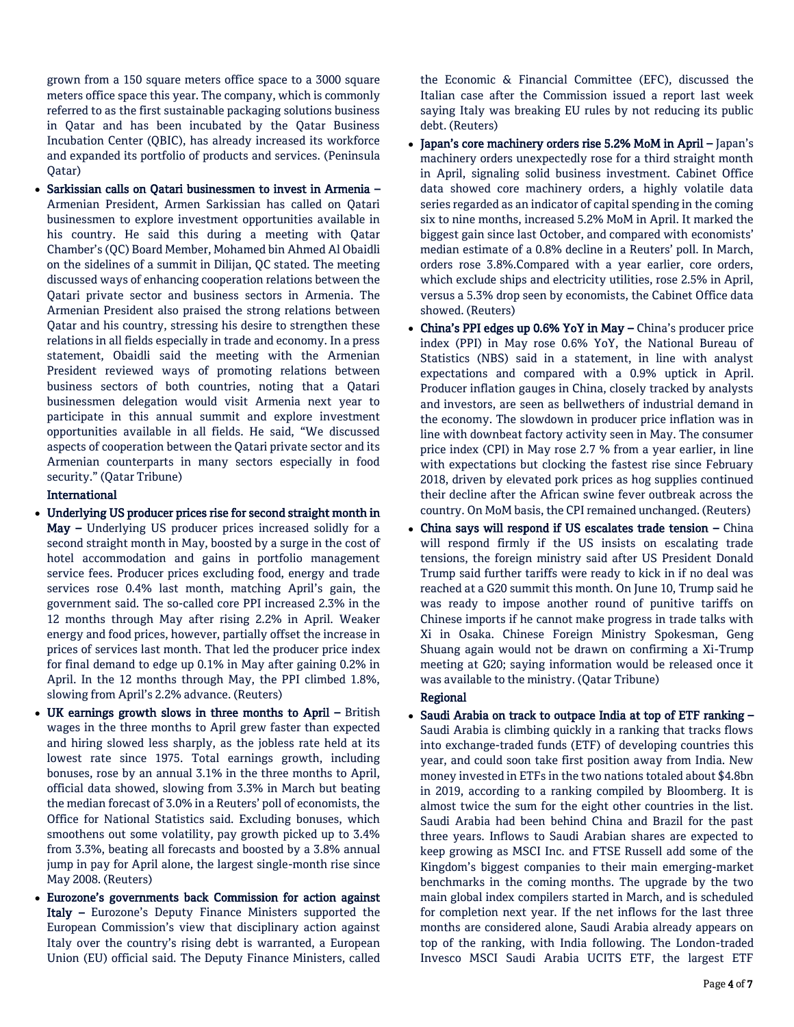grown from a 150 square meters office space to a 3000 square meters office space this year. The company, which is commonly referred to as the first sustainable packaging solutions business in Qatar and has been incubated by the Qatar Business Incubation Center (QBIC), has already increased its workforce and expanded its portfolio of products and services. (Peninsula Qatar)

 Sarkissian calls on Qatari businessmen to invest in Armenia – Armenian President, Armen Sarkissian has called on Qatari businessmen to explore investment opportunities available in his country. He said this during a meeting with Qatar Chamber's (QC) Board Member, Mohamed bin Ahmed Al Obaidli on the sidelines of a summit in Dilijan, QC stated. The meeting discussed ways of enhancing cooperation relations between the Qatari private sector and business sectors in Armenia. The Armenian President also praised the strong relations between Qatar and his country, stressing his desire to strengthen these relations in all fields especially in trade and economy. In a press statement, Obaidli said the meeting with the Armenian President reviewed ways of promoting relations between business sectors of both countries, noting that a Qatari businessmen delegation would visit Armenia next year to participate in this annual summit and explore investment opportunities available in all fields. He said, "We discussed aspects of cooperation between the Qatari private sector and its Armenian counterparts in many sectors especially in food security." (Qatar Tribune)

## International

- Underlying US producer prices rise for second straight month in May – Underlying US producer prices increased solidly for a second straight month in May, boosted by a surge in the cost of hotel accommodation and gains in portfolio management service fees. Producer prices excluding food, energy and trade services rose 0.4% last month, matching April's gain, the government said. The so-called core PPI increased 2.3% in the 12 months through May after rising 2.2% in April. Weaker energy and food prices, however, partially offset the increase in prices of services last month. That led the producer price index for final demand to edge up 0.1% in May after gaining 0.2% in April. In the 12 months through May, the PPI climbed 1.8%, slowing from April's 2.2% advance. (Reuters)
- UK earnings growth slows in three months to April British wages in the three months to April grew faster than expected and hiring slowed less sharply, as the jobless rate held at its lowest rate since 1975. Total earnings growth, including bonuses, rose by an annual 3.1% in the three months to April, official data showed, slowing from 3.3% in March but beating the median forecast of 3.0% in a Reuters' poll of economists, the Office for National Statistics said. Excluding bonuses, which smoothens out some volatility, pay growth picked up to 3.4% from 3.3%, beating all forecasts and boosted by a 3.8% annual jump in pay for April alone, the largest single-month rise since May 2008. (Reuters)
- Eurozone's governments back Commission for action against Italy – Eurozone's Deputy Finance Ministers supported the European Commission's view that disciplinary action against Italy over the country's rising debt is warranted, a European Union (EU) official said. The Deputy Finance Ministers, called

the Economic & Financial Committee (EFC), discussed the Italian case after the Commission issued a report last week saying Italy was breaking EU rules by not reducing its public debt. (Reuters)

- Japan's core machinery orders rise 5.2% MoM in April Japan's machinery orders unexpectedly rose for a third straight month in April, signaling solid business investment. Cabinet Office data showed core machinery orders, a highly volatile data series regarded as an indicator of capital spending in the coming six to nine months, increased 5.2% MoM in April. It marked the biggest gain since last October, and compared with economists' median estimate of a 0.8% decline in a Reuters' poll. In March, orders rose 3.8%.Compared with a year earlier, core orders, which exclude ships and electricity utilities, rose 2.5% in April, versus a 5.3% drop seen by economists, the Cabinet Office data showed. (Reuters)
- China's PPI edges up 0.6% YoY in May China's producer price index (PPI) in May rose 0.6% YoY, the National Bureau of Statistics (NBS) said in a statement, in line with analyst expectations and compared with a 0.9% uptick in April. Producer inflation gauges in China, closely tracked by analysts and investors, are seen as bellwethers of industrial demand in the economy. The slowdown in producer price inflation was in line with downbeat factory activity seen in May. The consumer price index (CPI) in May rose 2.7 % from a year earlier, in line with expectations but clocking the fastest rise since February 2018, driven by elevated pork prices as hog supplies continued their decline after the African swine fever outbreak across the country. On MoM basis, the CPI remained unchanged. (Reuters)
- China says will respond if US escalates trade tension China will respond firmly if the US insists on escalating trade tensions, the foreign ministry said after US President Donald Trump said further tariffs were ready to kick in if no deal was reached at a G20 summit this month. On June 10, Trump said he was ready to impose another round of punitive tariffs on Chinese imports if he cannot make progress in trade talks with Xi in Osaka. Chinese Foreign Ministry Spokesman, Geng Shuang again would not be drawn on confirming a Xi-Trump meeting at G20; saying information would be released once it was available to the ministry. (Qatar Tribune)

## Regional

 Saudi Arabia on track to outpace India at top of ETF ranking – Saudi Arabia is climbing quickly in a ranking that tracks flows into exchange-traded funds (ETF) of developing countries this year, and could soon take first position away from India. New money invested in ETFs in the two nations totaled about \$4.8bn in 2019, according to a ranking compiled by Bloomberg. It is almost twice the sum for the eight other countries in the list. Saudi Arabia had been behind China and Brazil for the past three years. Inflows to Saudi Arabian shares are expected to keep growing as MSCI Inc. and FTSE Russell add some of the Kingdom's biggest companies to their main emerging-market benchmarks in the coming months. The upgrade by the two main global index compilers started in March, and is scheduled for completion next year. If the net inflows for the last three months are considered alone, Saudi Arabia already appears on top of the ranking, with India following. The London-traded Invesco MSCI Saudi Arabia UCITS ETF, the largest ETF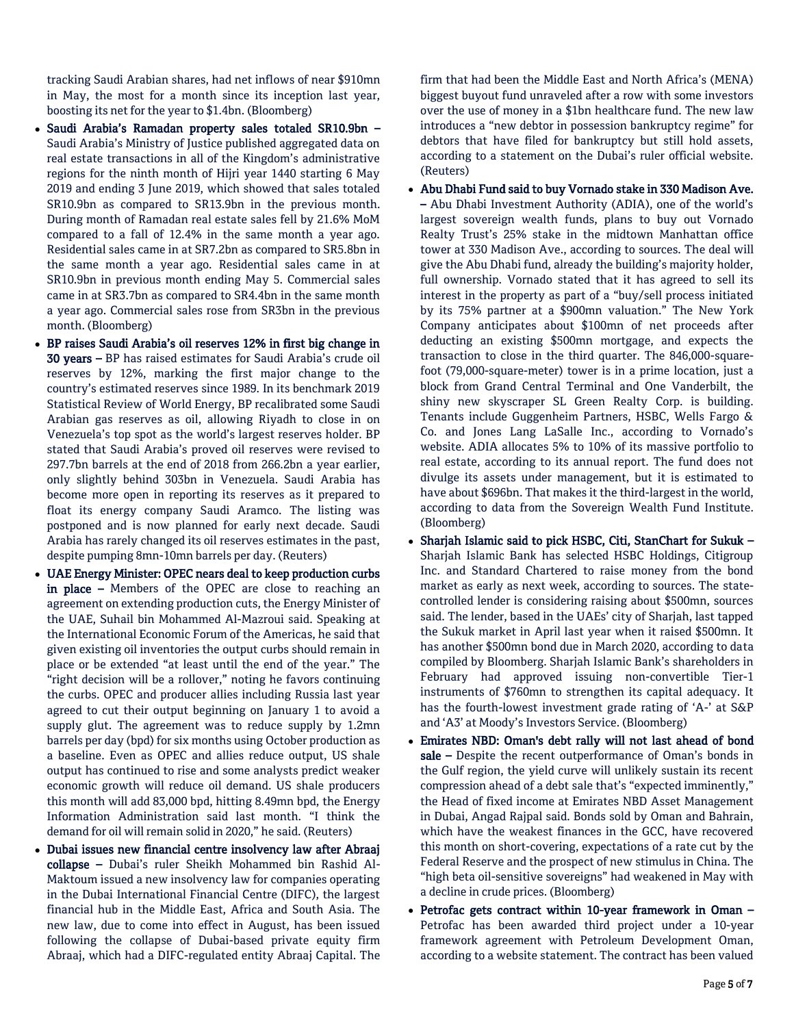tracking Saudi Arabian shares, had net inflows of near \$910mn in May, the most for a month since its inception last year, boosting its net for the year to \$1.4bn. (Bloomberg)

- Saudi Arabia's Ramadan property sales totaled SR10.9bn Saudi Arabia's Ministry of Justice published aggregated data on real estate transactions in all of the Kingdom's administrative regions for the ninth month of Hijri year 1440 starting 6 May 2019 and ending 3 June 2019, which showed that sales totaled SR10.9bn as compared to SR13.9bn in the previous month. During month of Ramadan real estate sales fell by 21.6% MoM compared to a fall of 12.4% in the same month a year ago. Residential sales came in at SR7.2bn as compared to SR5.8bn in the same month a year ago. Residential sales came in at SR10.9bn in previous month ending May 5. Commercial sales came in at SR3.7bn as compared to SR4.4bn in the same month a year ago. Commercial sales rose from SR3bn in the previous month. (Bloomberg)
- BP raises Saudi Arabia's oil reserves 12% in first big change in 30 years – BP has raised estimates for Saudi Arabia's crude oil reserves by 12%, marking the first major change to the country's estimated reserves since 1989. In its benchmark 2019 Statistical Review of World Energy, BP recalibrated some Saudi Arabian gas reserves as oil, allowing Riyadh to close in on Venezuela's top spot as the world's largest reserves holder. BP stated that Saudi Arabia's proved oil reserves were revised to 297.7bn barrels at the end of 2018 from 266.2bn a year earlier, only slightly behind 303bn in Venezuela. Saudi Arabia has become more open in reporting its reserves as it prepared to float its energy company Saudi Aramco. The listing was postponed and is now planned for early next decade. Saudi Arabia has rarely changed its oil reserves estimates in the past, despite pumping 8mn-10mn barrels per day. (Reuters)
- UAE Energy Minister: OPEC nears deal to keep production curbs in place – Members of the OPEC are close to reaching an agreement on extending production cuts, the Energy Minister of the UAE, Suhail bin Mohammed Al-Mazroui said. Speaking at the International Economic Forum of the Americas, he said that given existing oil inventories the output curbs should remain in place or be extended "at least until the end of the year." The "right decision will be a rollover," noting he favors continuing the curbs. OPEC and producer allies including Russia last year agreed to cut their output beginning on January 1 to avoid a supply glut. The agreement was to reduce supply by 1.2mn barrels per day (bpd) for six months using October production as a baseline. Even as OPEC and allies reduce output, US shale output has continued to rise and some analysts predict weaker economic growth will reduce oil demand. US shale producers this month will add 83,000 bpd, hitting 8.49mn bpd, the Energy Information Administration said last month. "I think the demand for oil will remain solid in 2020," he said. (Reuters)
- Dubai issues new financial centre insolvency law after Abraaj collapse – Dubai's ruler Sheikh Mohammed bin Rashid Al-Maktoum issued a new insolvency law for companies operating in the Dubai International Financial Centre (DIFC), the largest financial hub in the Middle East, Africa and South Asia. The new law, due to come into effect in August, has been issued following the collapse of Dubai-based private equity firm Abraaj, which had a DIFC-regulated entity Abraaj Capital. The

firm that had been the Middle East and North Africa's (MENA) biggest buyout fund unraveled after a row with some investors over the use of money in a \$1bn healthcare fund. The new law introduces a "new debtor in possession bankruptcy regime" for debtors that have filed for bankruptcy but still hold assets, according to a statement on the Dubai's ruler official website. (Reuters)

- Abu Dhabi Fund said to buy Vornado stake in 330 Madison Ave. – Abu Dhabi Investment Authority (ADIA), one of the world's largest sovereign wealth funds, plans to buy out Vornado Realty Trust's 25% stake in the midtown Manhattan office tower at 330 Madison Ave., according to sources. The deal will give the Abu Dhabi fund, already the building's majority holder, full ownership. Vornado stated that it has agreed to sell its interest in the property as part of a "buy/sell process initiated by its 75% partner at a \$900mn valuation." The New York Company anticipates about \$100mn of net proceeds after deducting an existing \$500mn mortgage, and expects the transaction to close in the third quarter. The 846,000-squarefoot (79,000-square-meter) tower is in a prime location, just a block from Grand Central Terminal and One Vanderbilt, the shiny new skyscraper SL Green Realty Corp. is building. Tenants include Guggenheim Partners, HSBC, Wells Fargo & Co. and Jones Lang LaSalle Inc., according to Vornado's website. ADIA allocates 5% to 10% of its massive portfolio to real estate, according to its annual report. The fund does not divulge its assets under management, but it is estimated to have about \$696bn. That makes it the third-largest in the world, according to data from the Sovereign Wealth Fund Institute. (Bloomberg)
- Sharjah Islamic said to pick HSBC, Citi, StanChart for Sukuk Sharjah Islamic Bank has selected HSBC Holdings, Citigroup Inc. and Standard Chartered to raise money from the bond market as early as next week, according to sources. The statecontrolled lender is considering raising about \$500mn, sources said. The lender, based in the UAEs' city of Sharjah, last tapped the Sukuk market in April last year when it raised \$500mn. It has another \$500mn bond due in March 2020, according to data compiled by Bloomberg. Sharjah Islamic Bank's shareholders in February had approved issuing non-convertible Tier-1 instruments of \$760mn to strengthen its capital adequacy. It has the fourth-lowest investment grade rating of 'A-' at S&P and 'A3' at Moody's Investors Service. (Bloomberg)
- Emirates NBD: Oman's debt rally will not last ahead of bond sale - Despite the recent outperformance of Oman's bonds in the Gulf region, the yield curve will unlikely sustain its recent compression ahead of a debt sale that's "expected imminently," the Head of fixed income at Emirates NBD Asset Management in Dubai, Angad Rajpal said. Bonds sold by Oman and Bahrain, which have the weakest finances in the GCC, have recovered this month on short-covering, expectations of a rate cut by the Federal Reserve and the prospect of new stimulus in China. The "high beta oil-sensitive sovereigns" had weakened in May with a decline in crude prices. (Bloomberg)
- Petrofac gets contract within 10-year framework in Oman Petrofac has been awarded third project under a 10-year framework agreement with Petroleum Development Oman, according to a website statement. The contract has been valued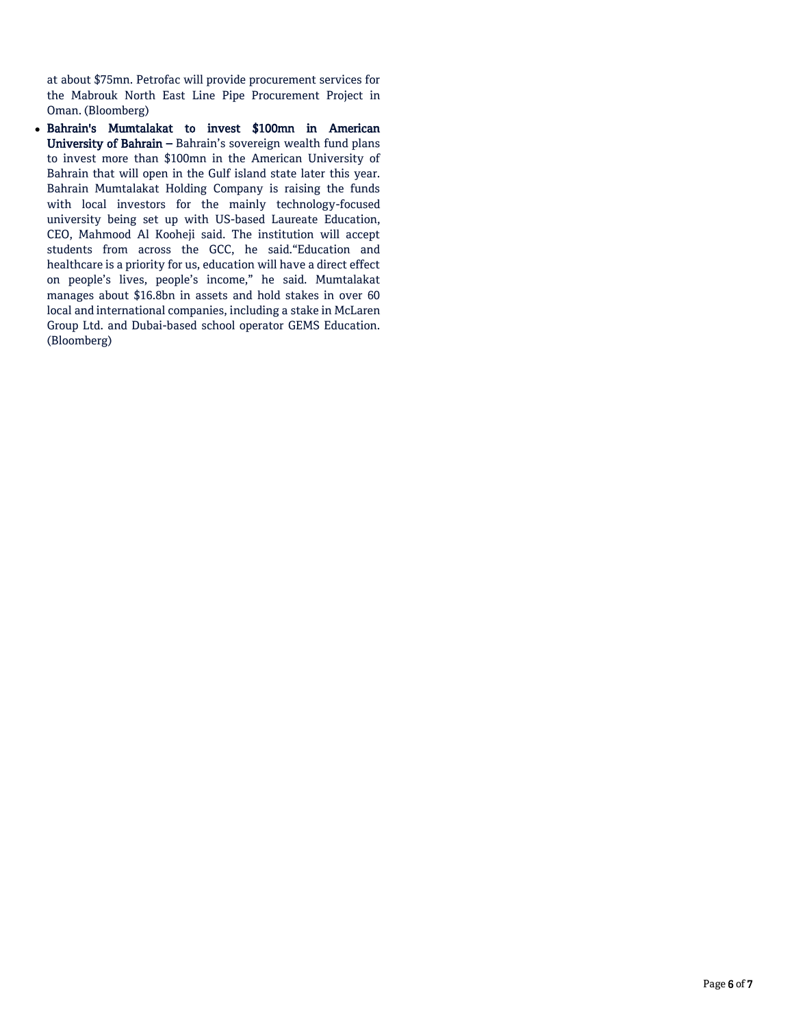at about \$75mn. Petrofac will provide procurement services for the Mabrouk North East Line Pipe Procurement Project in Oman. (Bloomberg)

 Bahrain's Mumtalakat to invest \$100mn in American University of Bahrain – Bahrain's sovereign wealth fund plans to invest more than \$100mn in the American University of Bahrain that will open in the Gulf island state later this year. Bahrain Mumtalakat Holding Company is raising the funds with local investors for the mainly technology-focused university being set up with US-based Laureate Education, CEO, Mahmood Al Kooheji said. The institution will accept students from across the GCC, he said."Education and healthcare is a priority for us, education will have a direct effect on people's lives, people's income," he said. Mumtalakat manages about \$16.8bn in assets and hold stakes in over 60 local and international companies, including a stake in McLaren Group Ltd. and Dubai-based school operator GEMS Education. (Bloomberg)